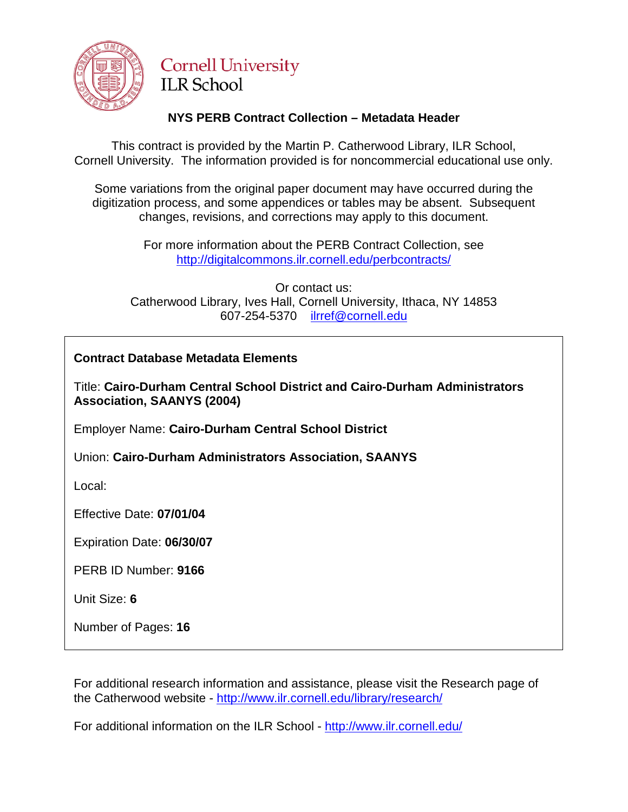

# **Cornell University ILR School**

## **NYS PERB Contract Collection – Metadata Header**

This contract is provided by the Martin P. Catherwood Library, ILR School, Cornell University. The information provided is for noncommercial educational use only.

Some variations from the original paper document may have occurred during the digitization process, and some appendices or tables may be absent. Subsequent changes, revisions, and corrections may apply to this document.

> For more information about the PERB Contract Collection, see http://digitalcommons.ilr.cornell.edu/perbcontracts/

Or contact us: Catherwood Library, Ives Hall, Cornell University, Ithaca, NY 14853 607-254-5370 [ilrref@cornell.edu](mailto:ilrref@cornell.edu)

## **Contract Database Metadata Elements**

Title: **Cairo-Durham Central School District and Cairo-Durham Administrators Association, SAANYS (2004)**

Employer Name: **Cairo-Durham Central School District**

Union: **Cairo-Durham Administrators Association, SAANYS**

Local:

Effective Date: **07/01/04**

Expiration Date: **06/30/07**

PERB ID Number: **9166**

Unit Size: **6**

Number of Pages: **16**

For additional research information and assistance, please visit the Research page of the Catherwood website - <http://www.ilr.cornell.edu/library/research/>

For additional information on the ILR School - <http://www.ilr.cornell.edu/>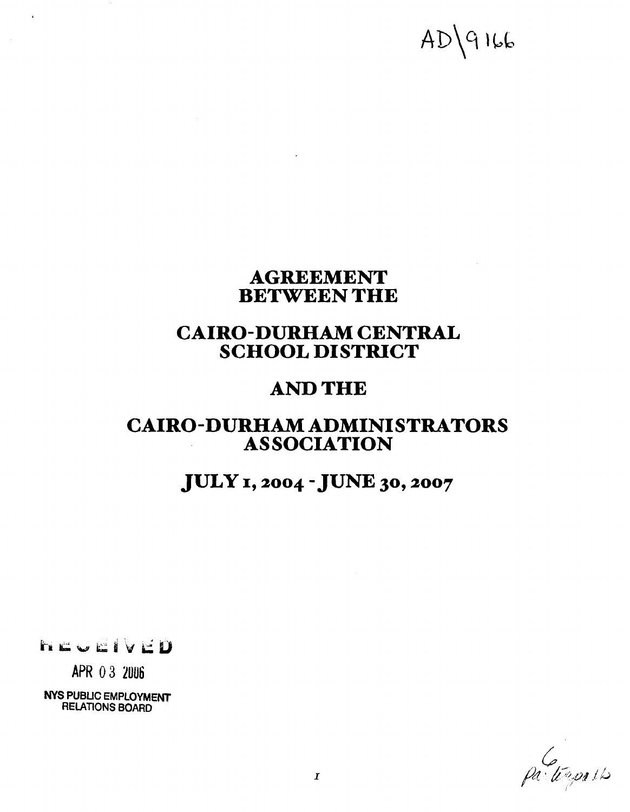# $AD\qquad9166$

# **AGREEMENT BETWEEN THE**

# **CAIRO-DURHAM CENTRAL SCHOOL DISTRICT**

# **AND THE**

# **CAIRO-DURHAM ADMINISTRATORS AS SOCIATION**

# **JULY I, 2004 -JUNE 30,2007**

hcvelveD

 $\mathbf{r}$ 

**APR** 0 **3 ZUU6** 

**NYS PUBLIC EMPLOYMENT RELATIONS BOARD** 

partings its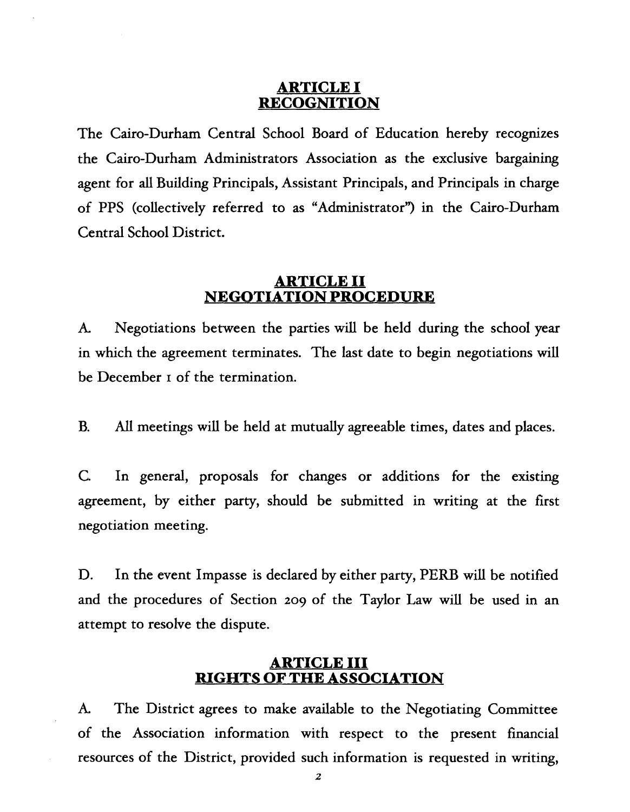#### **ARTICLE I RECOGNITION**

The Cairo-Durham Central School Board of Education hereby recognizes the Cairo-Durham Administrators Association as the exclusive bargaining agent for **all** Building Principals, Assistant Principals, and Principals in charge of PPS (collectively referred to as "Administrator") in the Cairo-Durham Central School District.

#### **ARTICLE I1 NEGOTIATION PROCEDURE**

**A.** Negotiations between the parties will be held during the school year in which the agreement terminates. The last date to begin negotiations will be December I of the termination.

B. All meetings will be held at mutually agreeable times, dates and places.

C. In general, proposals for changes or additions for the existing agreement, by either party, should be submitted in writing at the first negotiation meeting.

D. In the event Impasse is declared by either party, PERB will be notified and the procedures of Section 209 of the Taylor Law will be used in an attempt to resolve the dispute.

#### **ARTICLE I11 RIGHTS OF THE ASSOCIATION**

**k** The District agrees to make available to the Negotiating Committee of the Association information with respect to the present financial resources of the District, provided such information is requested in writing,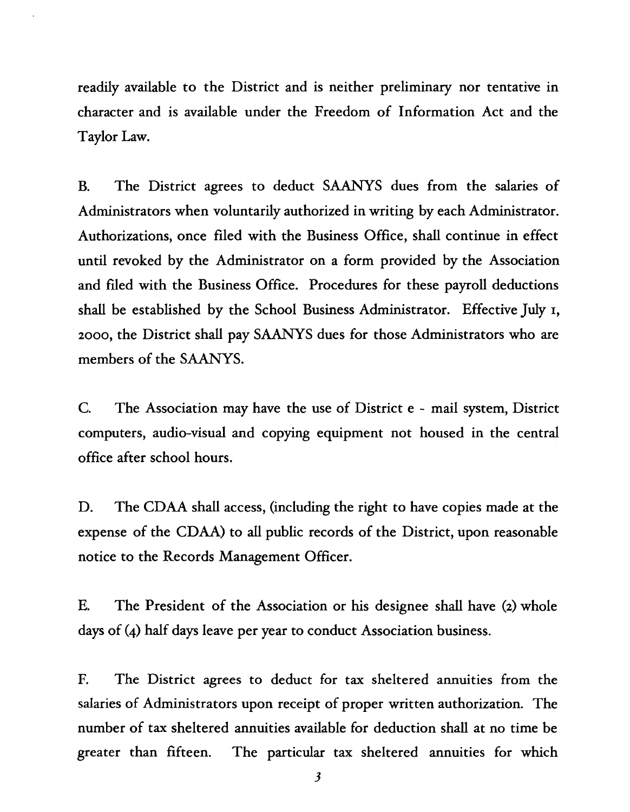readily available to the District and is neither preliminary nor tentative in character and is available under the Freedom of Information Act and the Taylor Law.

B. The District agrees to deduct SAANYS dues from the salaries of Administrators when voluntarily authorized in writing by each Administrator. Authorizations, once filed with the Business Office, shall continue in effect until revoked by the Administrator on a form provided by the Association and filed with the Business Office. Procedures for these payroll deductions shall be established by the School Business Administrator. Effective July I, 2000, the District shall pay SAANYS dues for those Administrators who are members of the SAANYS.

C. The Association may have the use of District e - mail system, District computers, audio-visual and copying equipment not housed in the central office after school hours.

D. The CDAA shall access, (including the right to have copies made at the expense of the CDAA) to all public records of the District, upon reasonable notice to the Records Management Officer.

E. The President of the Association or his designee shall have (2) whole days of (4) half days leave per year to conduct Association business.

F. The District agrees to deduct for tax sheltered annuities from the salaries of Administrators upon receipt of proper written authorization. The number of tax sheltered annuities available for deduction shall at no time be greater than fifteen. The particular tax sheltered annuities for which

**3**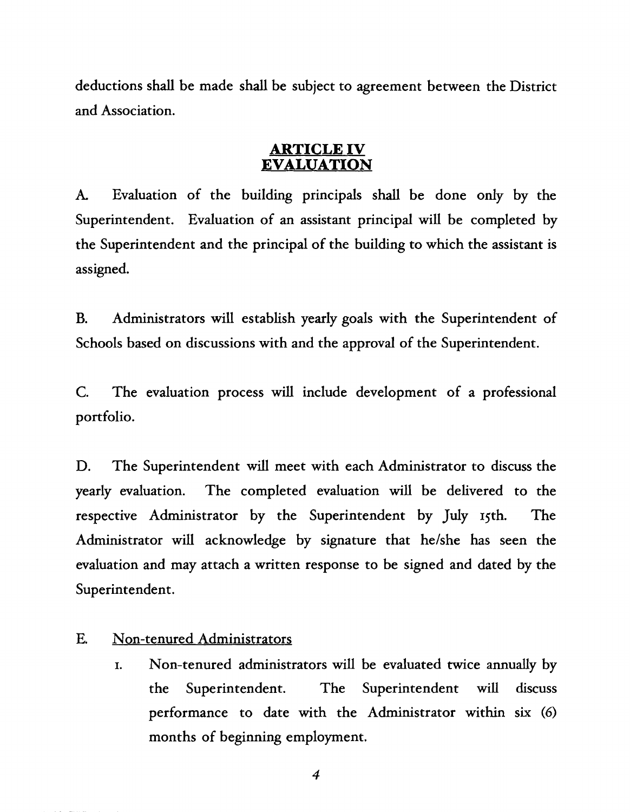deductions shall be made shall be subject to agreement between the District and Association.

#### **ARTICLE IV EVALUATION**

**A.** Evaluation of the building principals shall be done only by the Superintendent. Evaluation of an assistant principal will be completed by the Superintendent and the principal of the building to which the assistant is assigned.

B. Administrators will establish yearly goals with the Superintendent of Schools based on discussions with and the approval of the Superintendent.

C. The evaluation process will include development of a professional portfolio.

D. The Superintendent will meet with each Administrator to discuss the yearly evaluation. The completed evaluation will be delivered to the respective Administrator by the Superintendent by July 15th. The Administrator will acknowledge by signature that he/she has seen the evaluation and may attach a written response to be signed and dated by the Superintendent.

## E. Non-tenured Administrators

I. Non-tenured administrators will be evaluated twice annually by the Superintendent. The Superintendent will discuss performance to date with the Administrator within six (6) months of beginning employment.

 $\boldsymbol{4}$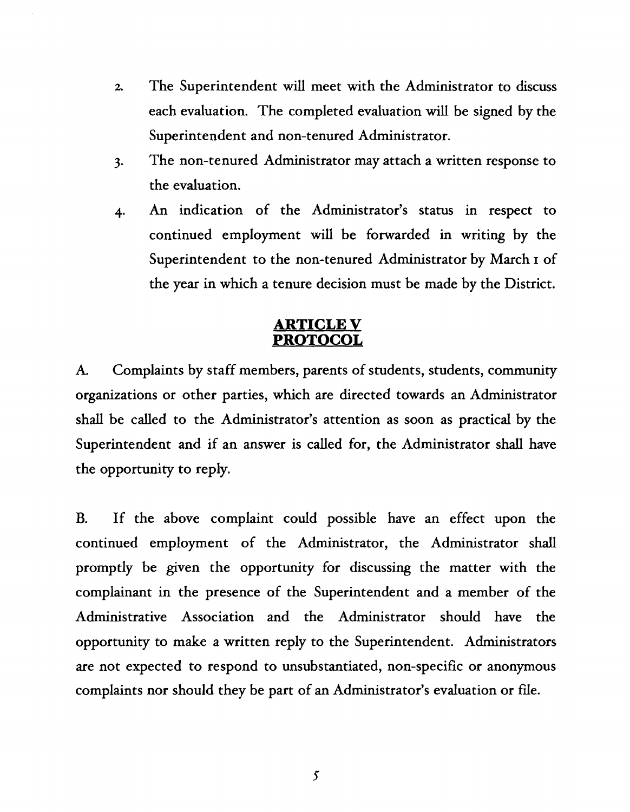- **2.** The Superintendent will meet with the Administrator to discuss each evaluation. The completed evaluation will be signed by the Superintendent and non-tenured Administrator.
- **3.** The non-tenured Administrator may attach a written response to the evaluation.
- 4. An indication of the Administrator's status in respect to continued employment will be forwarded in writing by the Superintendent to the non-tenured Administrator by March I of the year in which a tenure decision must be made by the District.

## **ARTICLE V PROTOCOL**

**k** Complaints by staff members, parents of students, students, community organizations or other parties, which are directed towards an Administrator shall be called to the Administrator's attention as soon as practical by the Superintendent and if an answer is called for, the Administrator shall have the opportunity to reply.

B. If the above complaint could possible have an effect upon the continued employment of the Administrator, the Administrator shall promptly be given the opportunity for discussing the matter with the complainant in the presence of the Superintendent and a member of the Administrative Association and the Administrator should have the opportunity to make a written reply to the Superintendent. Administrators are not expected to respond to unsubstantiated, non-specific or anonymous complaints nor should they be part of an Administrator's evaluation or file.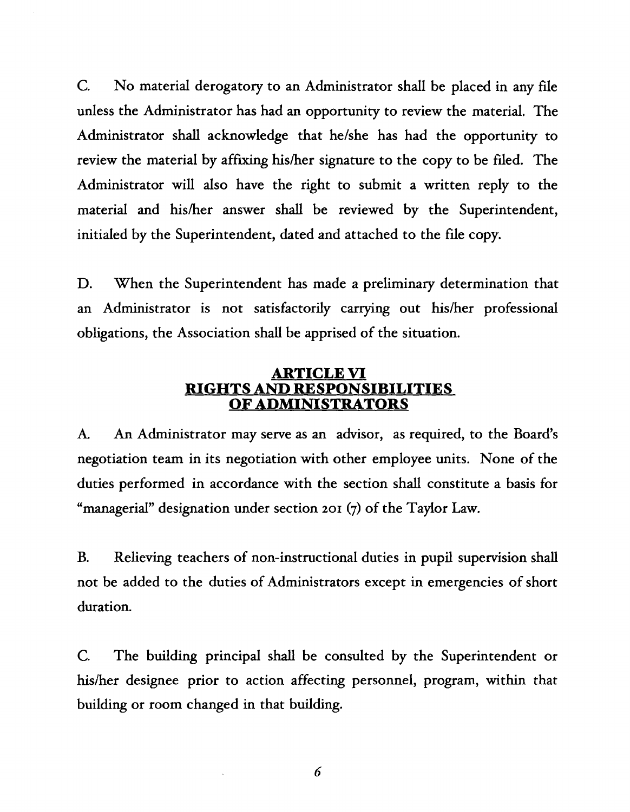*C.* No material derogatory to an Administrator shall be placed in any file unless the Administrator has had an opportunity to review the material. The Administrator shall acknowledge that helshe has had the opportunity to review the material by affixing his/her signature to the copy to be filed. The Administrator will also have the right to submit a written reply to the material and his/her answer shall be reviewed by the Superintendent, initialed by the Superintendent, dated and attached to the file copy.

D. When the Superintendent has made a preliminary determination that an Administrator is not satisfactorily carrying out his/her professional obligations, the Association shall be apprised of the situation.

#### **ARTICLE VI RIGHTS AND RESPONSIBILITIES OF ADMINISTRATORS**

**k** An Administrator may serve as an advisor, as required, to the Board's negotiation team in its negotiation with other employee units. None of the duties performed in accordance with the section shall constitute a basis for "managerial" designation under section **201** (7) of the Taylor Law.

B. Relieving teachers of non-instructional duties in pupil supervision shall not be added to the duties of Administrators except in emergencies of short duration.

C. The building principal shall be consulted by the Superintendent or his/her designee prior to action affecting personnel, program, within that building or room changed in that building.

6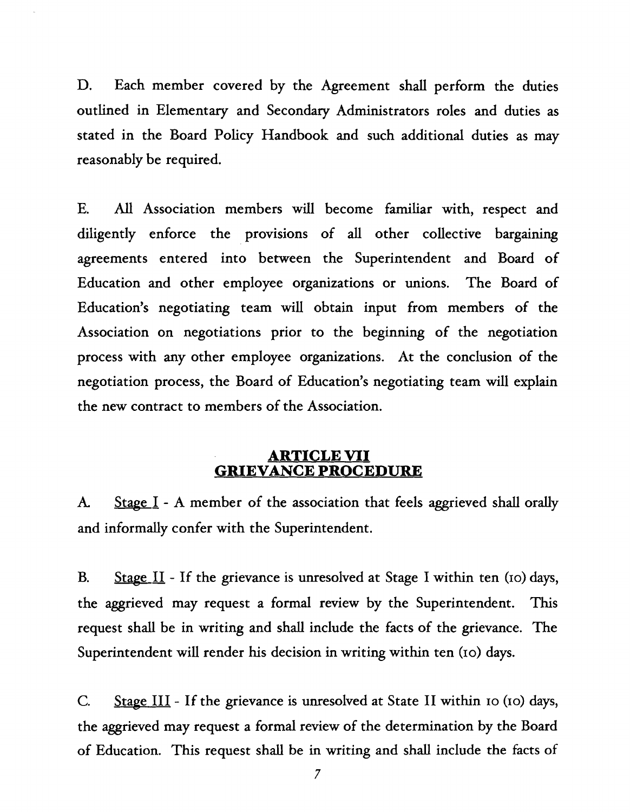D. Each member covered by the Agreement shall perform the duties outlined in Elementary and Secondary Administrators roles and duties as stated in the Board Policy Handbook and such additional duties as may reasonably be required.

E. *All* Association members will become familiar with, respect and diligently enforce the provisions of all other collective bargaining agreements entered into between the Superintendent and Board of Education and other employee organizations or unions. The Board of Education's negotiating team will obtain input from members of the Association on negotiations prior to the beginning of the negotiation process with any other employee organizations. At the conclusion of the negotiation process, the Board of Education's negotiating team will explain the new contract to members of the Association.

#### **ARTICLE VII GRIEVANCE PROCEDURE**

**A.** Stage I - A member of the association that feels aggrieved shall orally and informally confer with the Superintendent.

B. Stage II - If the grievance is unresolved at Stage I within ten (10) days, the aggrieved may request a formal review by the Superintendent. This request shall be in writing and shall include the facts of the grievance. The Superintendent will render his decision in writing within ten **(10)** days.

C. Stage III - If the grievance is unresolved at State II within 10 (10) days, the aggrieved may request a formal review of the determination by the Board of Education. This request shall be in writing and shall include the facts of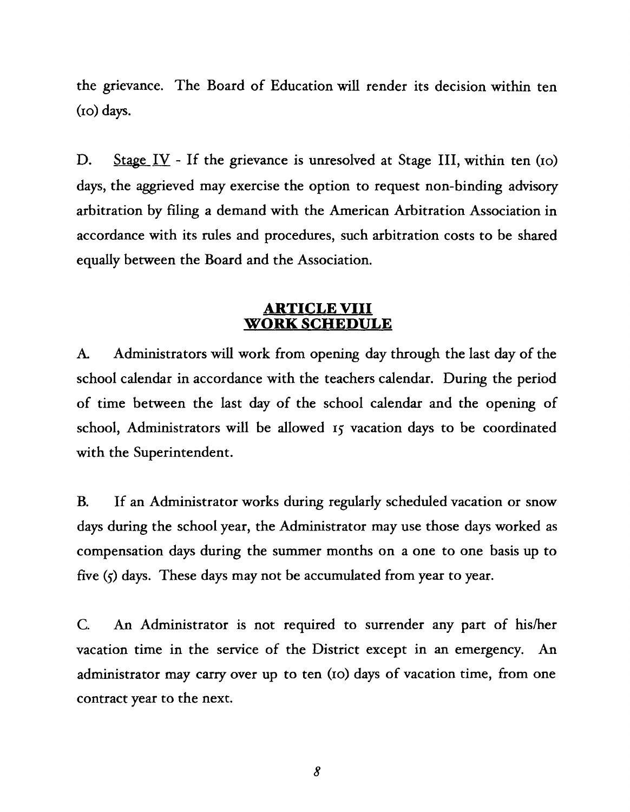the grievance. The Board of Education will render its decision within ten **(10)** days.

D. Stage IV - If the grievance is unresolved at Stage III, within ten (10) days, the aggrieved may exercise the option to request non-binding advisory arbitration by filing a demand with the American Arbitration Association in accordance with its rules and procedures, such arbitration costs to be shared equally between the Board and the Association.

#### **ARTICLE VIII WORK SCHEDULE**

A. Administrators will work from opening day through the last day of the school calendar in accordance with the teachers calendar. During the period of time between the last day of the school calendar and the opening of school, Administrators will be allowed **15** vacation days to be coordinated with the Superintendent.

**B.** If an Administrator works during regularly scheduled vacation or snow days during the school year, the Administrator may use those days worked as compensation days during the summer months on a one to one basis up to five **(5)** days. These days may not be accumulated from year to year.

C. **An** Administrator is not required to surrender any part of hisher vacation time in the service of the District except in an emergency. **An**  administrator may carry over up to ten **(10)** days of vacation time, from one contract year to the next.

8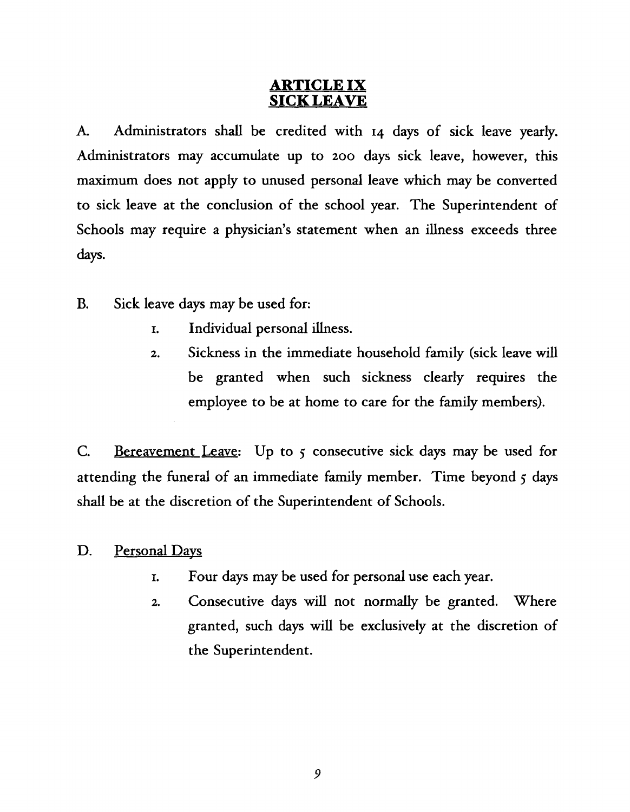# **ARTICLE IX SICK LEAVE**

**A.** Administrators shall be credited with 14 days of sick leave yearly. Administrators may accumulate up to **200** days sick leave, however, this maximum does not apply to unused personal leave which may be converted to sick leave at the conclusion of the school year. The Superintendent of Schools may require a physician's statement when an illness exceeds three days.

- B. Sick leave days may be used for:
	- I. Individual personal Illness.
	- 2. Sickness in the immediate household family (sick leave will be granted when such sickness clearly requires the employee to be at home to care for the family members).

C. Bereavement Leave: Up to *5* consecutive sick days may be used for attending the funeral of an immediate family member. Time beyond *5* days shall be at the discretion of the Superintendent of Schools.

## D. Personal Davs

- **I.** Four days may be used for personal use each year.
- **2.** Consecutive days will not normally be granted. Where granted, such days will be exclusively at the discretion of the Superintendent.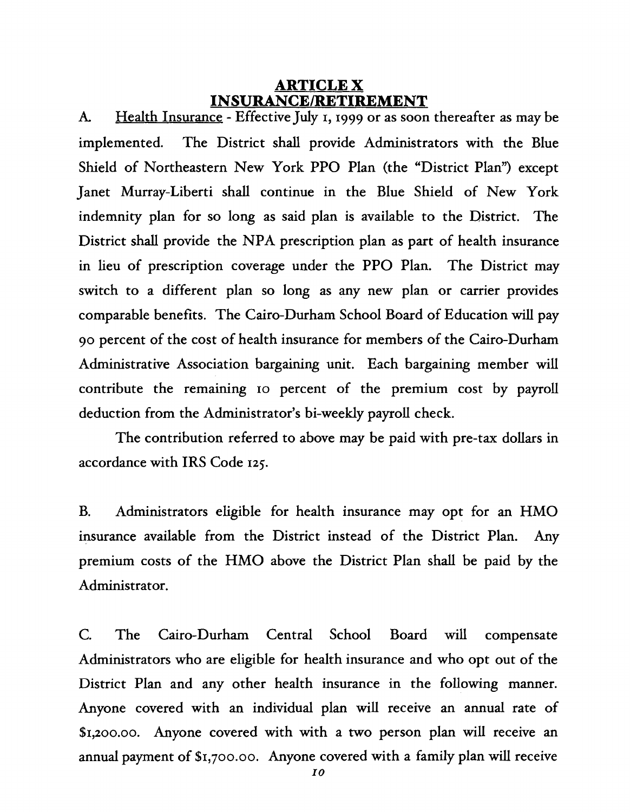#### **ARTICLE X INSURANCE/RETIREMENT**

**A.** Health Insurance - Effective July I, **1999** or as soon thereafter as may be implemented. The District shall provide Administrators with the Blue Shield of Northeastern New York PPO Plan (the "District Plan") except Janet Murray-Liberti shall continue in the Blue Shield of New York indemnity plan for so long as said plan is available to the District. The District shall provide the NPA prescription plan as part of health insurance in lieu of prescription coverage under the PPO Plan. The District may switch to a different plan so long as any new plan or carrier provides comparable benefits. The Cairo-Durham School Board of Education will pay 90 percent of the cost of health insurance for members of the Cairo-Durham Administrative Association bargaining unit. Each bargaining member will contribute the remaining 10 percent of the premium cost by payroll deduction from the Administrator's bi-weekly payroll check.

The contribution referred to above may be paid with pre-tax dollars in accordance with IRS Code 125.

B. Administrators eligible for health insurance may opt for an HMO insurance available from the District instead of the District Plan. Any premium costs of the HMO above the District Plan shall be paid by the Administrator.

C. The Cairo-Durham Central School Board will compensate Administrators who are eligible for health insurance and who opt out of the District Plan and any other health insurance in the following manner. Anyone covered with an individual plan will receive an annual rate of \$I,ZOO.OO. Anyone covered with with a two person plan will receive an annual payment of \$1,700.00. Anyone covered with a family plan will receive

*I0*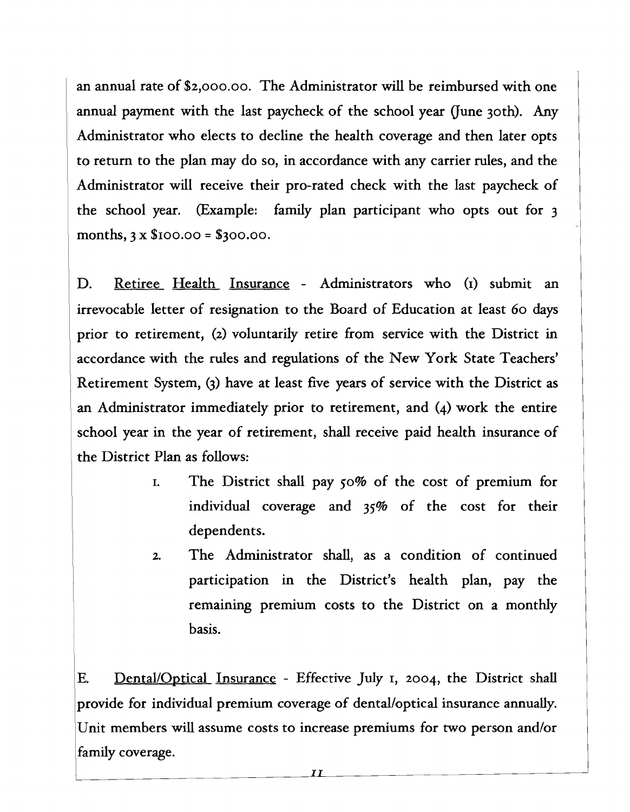an annual rate of \$2,000.00. The Administrator will be reimbursed with one annual payment with the last paycheck of the school year (June 30th). Any Administrator who elects to decline the health coverage and then later opts to return to the plan may do so, in accordance with any carrier rules, and the Administrator will receive their pro-rated check with the last paycheck of the school year. (Example: family plan participant who opts out for 3 months,  $3 \times $100.00 = $300.00$ .

D. Retiree Health Insurance - Administrators who (I) submit an irrevocable letter of resignation to the Board of Education at least 60 days prior to retirement, (2) voluntarily retire from service with the District in accordance with the rules and regulations of the New York State Teachers' Retirement System, **(3)** have at least five years of service with the District as an Administrator immediately prior to retirement, and (4) work the entire school year in the year of retirement, shall receive paid health insurance of the District Plan as follows:

- **I.** The District shall pay 50% of the cost of premium for individual coverage and **35%** of the cost for their dependents.
- 2. The Administrator shall, as a condition of continued participation in the District's health plan, pay the remaining premium costs to the District on a monthly basis.

E. Dental/Optical Insurance - Effective July I, 2004, the District shall provide for individual premium coverage of dental/optical insurance annually. Unit members will assume costs to increase premiums for two person and/or family coverage.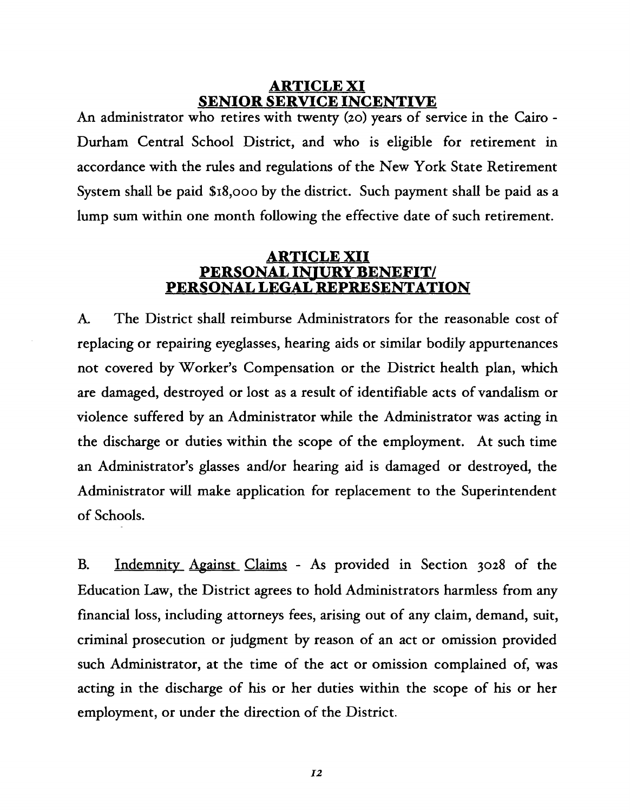#### **ARTICLE XI SENIOR SERVICE INCENTIVE**

**An** administrator who retires with twenty (20) years of service in the Cairo - Durham Central School District, and who is eligible for retirement in accordance with the rules and regulations of the New York State Retirement System shall be paid \$18,000 by the district. Such payment shall be paid as a lump sum within one month following the effective date of such retirement.

#### **ARTICLE XI1 PERSONAL INTURY BENEFIT/ PERSONAL LEGAL REPRESENTATION**

**A.** The District shall reimburse Administrators for the reasonable cost of replacing or repairing eyeglasses, hearing aids or similar bodily appurtenances not covered by Worker's Compensation or the District health plan, which are damaged, destroyed or lost as a result of identifiable acts of vandalism or violence suffered by an Administrator while the Administrator was acting in the discharge or duties within the scope of the employment. At such time an Administrator's glasses andlor hearing aid is damaged or destroyed, the Administrator will make application for replacement to the Superintendent of Schools.

B. Indemnity Against Claims - As provided in Section 3028 of the Education Law, the District agrees to hold Administrators harmless from any financial loss, including attorneys fees, arising out of any claim, demand, suit, criminal prosecution or judgment by reason of an act or omission provided such Administrator, at the time of the act or omission complained of, was acting in the discharge of his or her duties within the scope of his or her employment, or under the direction of the District.

 $I2$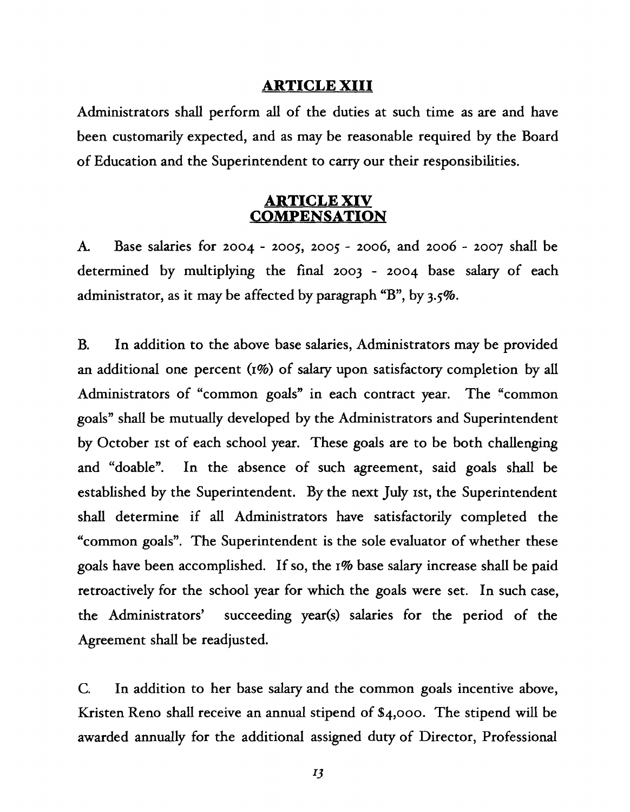#### **ARTICLE XI11**

Administrators shall perform all of the duties at such time as are and have been customarily expected, and as may be reasonable required by the Board of Education and the Superintendent to carry our their responsibilities.

#### **ARTICLE XIV COMPENSATION**

**A** Base salaries for 2004 - 2005, 2005 - 2006, and 2006 - 2007 shall be determined by multiplying the final 2003 - 2004 base salary of each administrator, as it may be affected by paragraph "B", by 3.5%.

B. In addition to the above base salaries, Administrators may be provided an additional one percent (1%) of salary upon satisfactory completion by all Administrators of "common goals" in each contract year. The "common goals" shall be mutually developed by the Administrators and Superintendent by October 1st of each school year. These goals are to be both challenging and "doable". In the. absence of such agreement, said goals shall be established by the Superintendent. By the next July st, the Superintendent shall determine if all Administrators have satisfactorily completed the "common goals". The Superintendent is the sole evaluator of whether these goals have been accomplished. If so, the I% base salary increase shall be paid retroactively for the school year for which the goals were set. In such case, the Administrators' succeeding year(s) salaries for the period of the Agreement shall be readjusted.

C. In addition to her base salary and the common goals incentive above, Kristen Reno shall receive an annual stipend of \$4,000. The stipend will be awarded annually for the additional assigned duty of Director, Professional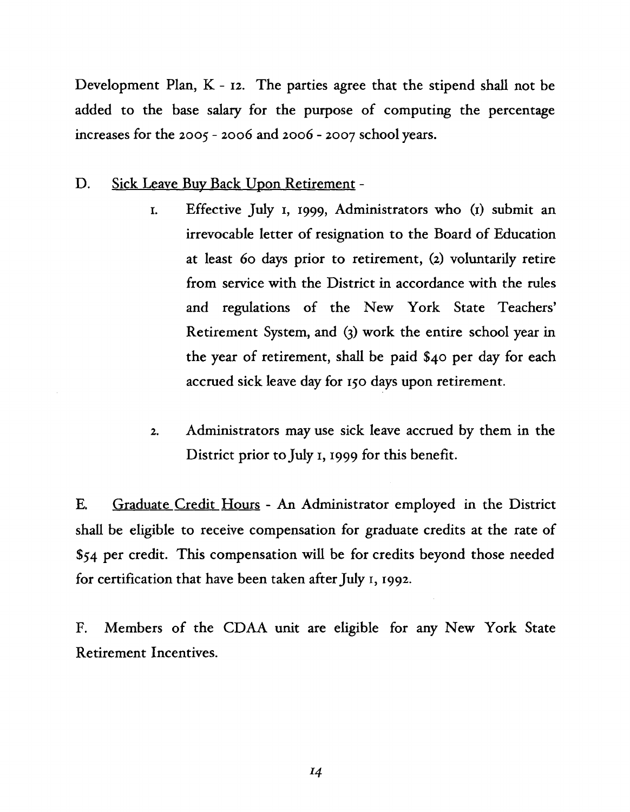Development Plan, K - 12. The parties agree that the stipend shall not be added to the base salary for the purpose of computing the percentage increases for the 2005 - 2006 and 2006 - 2007 school years.

- D. Sick Leave Buy Back Upon Retirement
	- I. Effective July I, 1999, Administrators who (I) submit an irrevocable letter of resignation to the Board of Education at least 60 days prior to retirement, (2) voluntarily retire from service with the District in accordance with the rules and regulations of the New York State Teachers' Retirement System, and *6)* work the entire school year in the year of retirement, shall be paid \$40 per day for each accrued sick leave day for 150 days upon retirement.
	- 2. Administrators may use sick leave accrued by them in the District prior to July I, 1999 for this benefit.

E. Graduate Credit Hours - An Administrator employed in the District shall be eligible to receive compensation for graduate credits at the rate of **\$54** per credit. This compensation will be for credits beyond those needed for certification that have been taken after July I, 1992.

F. Members of the CDAA unit are eligible for any New York State Retirement Incentives.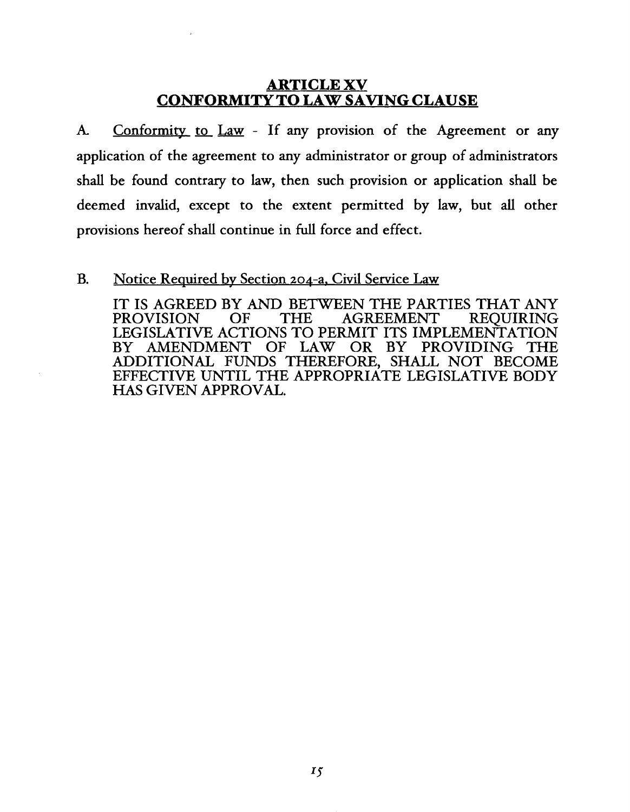## **ARTICLE XV CONFORMITY TO LAW SAVING CLAUSE**

**k** Conformitv to Law - If any provision of the Agreement or any application of the agreement to any administrator or group of administrators shall be found contrary to law, then such provision or application shall be deemed invalid, except to the extent permitted by law, but all other provisions hereof shall continue in fill force and effect.

#### B. Notice Required bv Section 204-a, Civil Service Law

IT IS AGREED BY AND BETWEEN THE PARTIES THAT ANY PROVISION OF THE AGREEMENT REOUIRING **AGREEMENT** LEGISLATIVE ACTIONS TO PERMIT ITS IMPLEMENTATION BY AMENDMENT OF LAW OR BY PROVIDING THE ADDITIONAL FUNDS THEREFORE, SHALL NOT BECOME EFFECTIVE UNTIL THE APPROPRIATE LEGISLATIVE BODY HAS GIVEN APPROVAL.